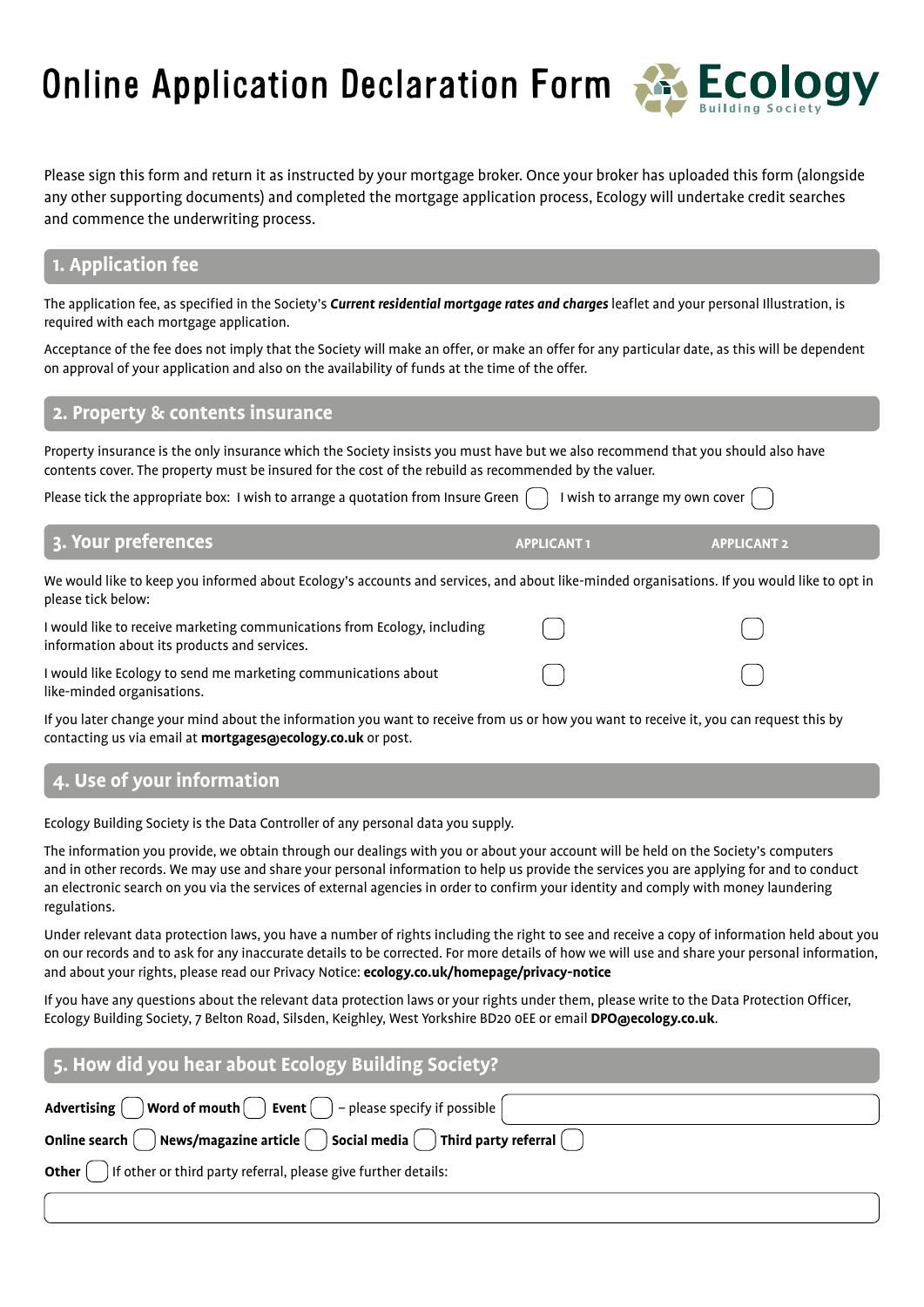Online Application Declaration Form



Please sign this form and return it as instructed by your mortgage broker. Once your broker has uploaded this form (alongside any other supporting documents) and completed the mortgage application process, Ecology will undertake credit searches and commence the underwriting process.

# **1. Application fee**

The application fee, as specified in the Society's *Current residential mortgage rates and charges* leaflet and your personal Illustration, is required with each mortgage application.

Acceptance of the fee does not imply that the Society will make an offer, or make an offer for any particular date, as this will be dependent on approval of your application and also on the availability of funds at the time of the offer.

## **2. Property & contents insurance**

Property insurance is the only insurance which the Society insists you must have but we also recommend that you should also have contents cover. The property must be insured for the cost of the rebuild as recommended by the valuer.

Please tick the appropriate box: I wish to arrange a quotation from Insure Green  $\binom{1}{k}$  I wish to arrange my own cover  $\binom{1}{k}$ 

### **3. Your preferences APPLICANT 1 APPLICANT 1 APPLICANT 1 APPLICANT 2**

We would like to keep you informed about Ecology's accounts and services, and about like-minded organisations. If you would like to opt in please tick below:

I would like to receive marketing communications from Ecology, including information about its products and services.

I would like Ecology to send me marketing communications about like-minded organisations.

If you later change your mind about the information you want to receive from us or how you want to receive it, you can request this by contacting us via email at **mortgages@ecology.co.uk** or post.

# **4. Use of your information**

Ecology Building Society is the Data Controller of any personal data you supply.

The information you provide, we obtain through our dealings with you or about your account will be held on the Society's computers and in other records. We may use and share your personal information to help us provide the services you are applying for and to conduct an electronic search on you via the services of external agencies in order to confirm your identity and comply with money laundering regulations.

Under relevant data protection laws, you have a number of rights including the right to see and receive a copy of information held about you on our records and to ask for any inaccurate details to be corrected. For more details of how we will use and share your personal information, and about your rights, please read our Privacy Notice: **ecology.co.uk/homepage/privacy-notice** 

If you have any questions about the relevant data protection laws or your rights under them, please write to the Data Protection Officer, Ecology Building Society, 7 Belton Road, Silsden, Keighley, West Yorkshire BD20 0EE or email **DPO@ecology.co.uk**.

| 5. How did you hear about Ecology Building Society?                                                                |  |  |
|--------------------------------------------------------------------------------------------------------------------|--|--|
| Advertising $\bigcirc$ Word of mouth $\bigcirc$ Event $\bigcirc$ - please specify if possible $\bigcirc$           |  |  |
| Online search $\bigcap$ News/magazine article $\bigcap$ Social media $\bigcap$ Third party referral $\bigcap$      |  |  |
| <b>Other</b> $\begin{pmatrix} 1 \\ 1 \end{pmatrix}$ if other or third party referral, please give further details: |  |  |